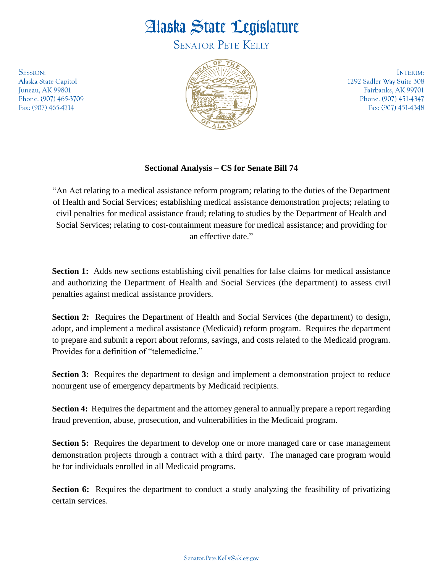## Alaska State Legislature

**SENATOR PETE KELLY** 

**SESSION:** Alaska State Capitol Juneau, AK 99801 Phone: (907) 465-3709 Fax: (907) 465-4714



INTERIM: 1292 Sadler Way Suite 308 Fairbanks, AK 99701 Phone: (907) 451-4347 Fax: (907) 451-4348

## **Sectional Analysis – CS for Senate Bill 74**

"An Act relating to a medical assistance reform program; relating to the duties of the Department of Health and Social Services; establishing medical assistance demonstration projects; relating to civil penalties for medical assistance fraud; relating to studies by the Department of Health and Social Services; relating to cost-containment measure for medical assistance; and providing for an effective date."

**Section 1:** Adds new sections establishing civil penalties for false claims for medical assistance and authorizing the Department of Health and Social Services (the department) to assess civil penalties against medical assistance providers.

**Section 2:** Requires the Department of Health and Social Services (the department) to design, adopt, and implement a medical assistance (Medicaid) reform program. Requires the department to prepare and submit a report about reforms, savings, and costs related to the Medicaid program. Provides for a definition of "telemedicine."

**Section 3:** Requires the department to design and implement a demonstration project to reduce nonurgent use of emergency departments by Medicaid recipients.

**Section 4:** Requires the department and the attorney general to annually prepare a report regarding fraud prevention, abuse, prosecution, and vulnerabilities in the Medicaid program.

**Section 5:** Requires the department to develop one or more managed care or case management demonstration projects through a contract with a third party. The managed care program would be for individuals enrolled in all Medicaid programs.

**Section 6:** Requires the department to conduct a study analyzing the feasibility of privatizing certain services.